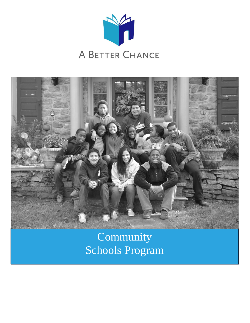



Community Schools Program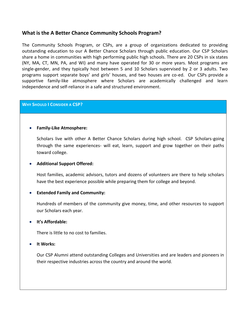# **What is the A Better Chance Community Schools Program?**

The Community Schools Program, or CSPs, are a group of organizations dedicated to providing outstanding education to our A Better Chance Scholars through public education. Our CSP Scholars share a home in communities with high performing public high schools. There are 20 CSPs in six states (NY, MA, CT, MN, PA, and WI) and many have operated for 30 or more years. Most programs are single-gender, and they typically host between 5 and 10 Scholars supervised by 2 or 3 adults. Two programs support separate boys' and girls' houses, and two houses are co-ed. Our CSPs provide a supportive family-like atmosphere where Scholars are academically challenged and learn independence and self-reliance in a safe and structured environment.

## **WHY SHOULD I CONSIDER A CSP?**

## **Family-Like Atmosphere:**

Scholars live with other A Better Chance Scholars during high school. CSP Scholars-going through the same experiences- will eat, learn, support and grow together on their paths toward college.

### **Additional Support Offered:**

Host families, academic advisors, tutors and dozens of volunteers are there to help scholars have the best experience possible while preparing them for college and beyond.

## **Extended Family and Community:**

Hundreds of members of the community give money, time, and other resources to support our Scholars each year.

#### **It's Affordable:**

There is little to no cost to families.

#### **It Works:**

Our CSP Alumni attend outstanding Colleges and Universities and are leaders and pioneers in their respective industries across the country and around the world.